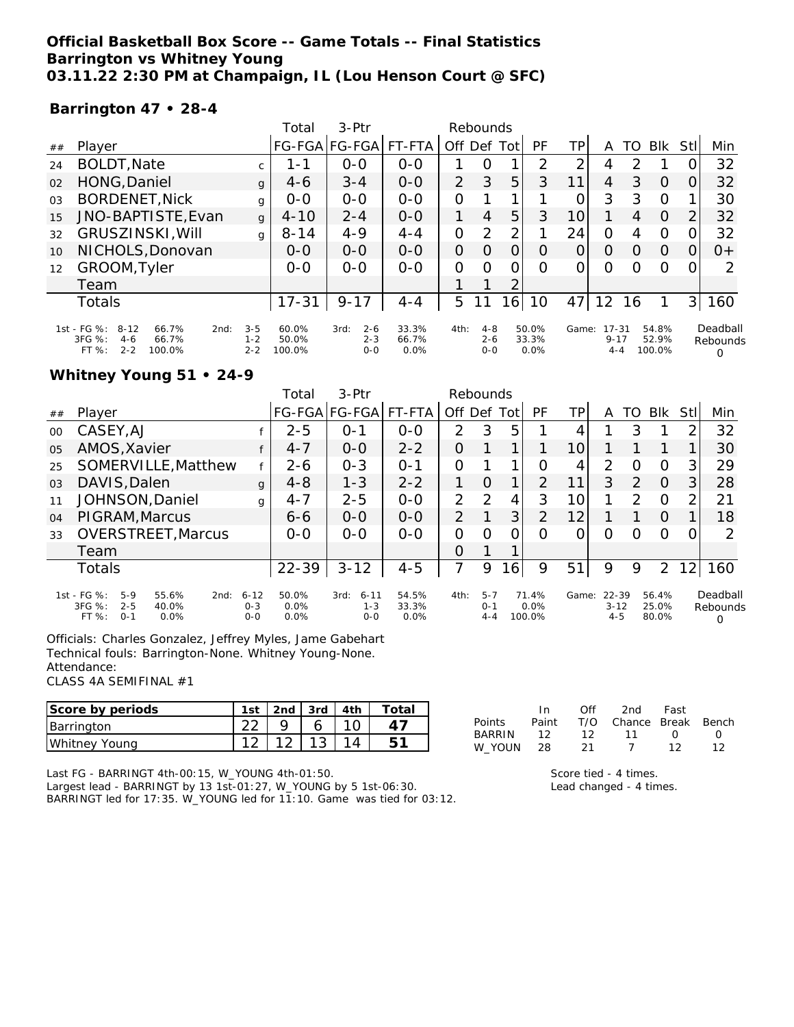#### **Official Basketball Box Score -- Game Totals -- Final Statistics Barrington vs Whitney Young 03.11.22 2:30 PM at Champaign, IL (Lou Henson Court @ SFC)**

#### **Barrington 47 • 28-4**

|                |                                                                                                    |                               | Total                    | $3-Ptr$                               | Rebounds               |          |                               |          |                        |                 |                                  |               |                          |      |                                  |
|----------------|----------------------------------------------------------------------------------------------------|-------------------------------|--------------------------|---------------------------------------|------------------------|----------|-------------------------------|----------|------------------------|-----------------|----------------------------------|---------------|--------------------------|------|----------------------------------|
| ##             | Player                                                                                             |                               |                          | FG-FGA FG-FGA                         | FT-FTA                 | Off Def  |                               | Totl     | PF                     | ΤP              | A                                | TO            | <b>BIK</b>               | StII | Min                              |
| 24             | <b>BOLDT, Nate</b>                                                                                 | C.                            | 1 - 1                    | $0 - 0$                               | $0 - 0$                |          | 0                             |          | 2                      | ⌒               | 4                                | $\mathcal{P}$ |                          |      | 32                               |
| 02             | HONG, Daniel                                                                                       | $\mathbf{q}$                  | $4-6$                    | $3 - 4$                               | $0 - 0$                | 2        | 3                             | 5        | 3                      | 11              | 4                                | 3             | $\Omega$                 |      | 32                               |
| 0 <sub>3</sub> | <b>BORDENET, Nick</b>                                                                              | g                             | $O-O$                    | $0 - 0$                               | $0 - 0$                | $\Omega$ |                               |          |                        | 0               | 3                                | 3             | O                        |      | 30                               |
| 15             | JNO-BAPTISTE, Evan                                                                                 | g                             | $4 - 10$                 | $2 - 4$                               | $0 - 0$                |          | 4                             | 5        | 3                      | 10 <sup>1</sup> |                                  | 4             | $\Omega$                 | 2    | 32                               |
| 32             | GRUSZINSKI, Will                                                                                   | g                             | $8 - 14$                 | $4 - 9$                               | $4 - 4$                | O        | 2                             | 2        |                        | 24              | O                                |               | O                        |      | 32                               |
| 10             | NICHOLS, Donovan                                                                                   |                               | $O-O$                    | $0 - 0$                               | $0 - 0$                | $\Omega$ | $\Omega$                      | 0        | O                      | 0               | O                                | Ο             | O                        |      | $0+$                             |
| 12             | GROOM, Tyler                                                                                       |                               | $0 - 0$                  | $0 - 0$                               | $0 - 0$                | $\Omega$ | $\Omega$                      | $\Omega$ | Ω                      | 0               | $\Omega$                         | Ω             | $\Omega$                 |      | 2                                |
|                | Team                                                                                               |                               |                          |                                       |                        |          |                               | 2        |                        |                 |                                  |               |                          |      |                                  |
|                | Totals                                                                                             |                               | $17 - 31$                | $9 - 17$                              | $4 - 4$                | 5        |                               | 16       | 10                     | 47              | 12                               | 16            |                          | 31   | 160                              |
|                | 1st - FG %:<br>$8 - 12$<br>66.7%<br>2nd:<br>3FG %:<br>66.7%<br>$4-6$<br>FT %:<br>$2 - 2$<br>100.0% | $3 - 5$<br>$1 - 2$<br>$2 - 2$ | 60.0%<br>50.0%<br>100.0% | $2 - 6$<br>3rd:<br>$2 - 3$<br>$0 - 0$ | 33.3%<br>66.7%<br>0.0% | 4th:     | $4 - 8$<br>$2 - 6$<br>$0 - 0$ |          | 50.0%<br>33.3%<br>0.0% | Game:           | $17 - 31$<br>$9 - 17$<br>$4 - 4$ |               | 54.8%<br>52.9%<br>100.0% |      | Deadball<br>Rebounds<br>$\Omega$ |

### **Whitney Young 51 • 24-9**

|                |                                                                                                 |                                | Total                 | $3-Ptr$                                | Rebounds               |                |                               |    |                         |       |                                  |          |                         |      |                                  |
|----------------|-------------------------------------------------------------------------------------------------|--------------------------------|-----------------------|----------------------------------------|------------------------|----------------|-------------------------------|----|-------------------------|-------|----------------------------------|----------|-------------------------|------|----------------------------------|
| ##             | Plaver                                                                                          |                                |                       | FG-FGA FG-FGA FT-FTA                   |                        | Off Def Tot    |                               |    | PF                      | ТP    | A                                | TO       | Blk                     | Stll | Min                              |
| $00 \,$        | CASEY, AJ                                                                                       |                                | $2 - 5$               | 0-1                                    | $0 - 0$                | 2              | 3                             | 5  |                         |       |                                  | 3        |                         |      | 32                               |
| O <sub>5</sub> | AMOS, Xavier                                                                                    | f                              | $4 - 7$               | $O-O$                                  | $2 - 2$                | 0              |                               |    |                         | 10    |                                  |          |                         |      | 30                               |
| 25             | SOMERVILLE, Matthew                                                                             |                                | $2 - 6$               | $0 - 3$                                | $0 - 1$                | 0              |                               |    | O                       | 4     | $\mathcal{P}$                    | ∩        | $\Omega$                | 3    | 29                               |
| 0 <sub>3</sub> | DAVIS, Dalen                                                                                    | $4 - 8$                        | $1 - 3$               | $2 - 2$                                |                        | Ο              | 1                             | 2  | 11                      | 3     | 2                                | $\Omega$ | 3                       | 28   |                                  |
| 11             | <b>JOHNSON, Daniel</b>                                                                          | g                              | $4 - 7$               | $2 - 5$                                | $O-O$                  | $\overline{2}$ | $\mathcal{P}$                 | 4  | 3                       | 10    |                                  | 2        | $\Omega$                |      | 21                               |
| 04             | PIGRAM, Marcus                                                                                  |                                | $6 - 6$               | $O-O$                                  | $O-O$                  | $\overline{2}$ |                               | 3  | 2                       | 12    |                                  |          | $\Omega$                |      | 18                               |
| 33             | <b>OVERSTREET, Marcus</b>                                                                       |                                | $0 - 0$               | $0 - 0$                                | $0 - 0$                | 0              | Ω                             | 0  | 0                       | 0     | O                                | O        | $\circ$                 |      | 2                                |
|                | Team                                                                                            |                                |                       |                                        |                        | 0              |                               |    |                         |       |                                  |          |                         |      |                                  |
|                | <b>Totals</b>                                                                                   |                                | $22 - 39$             | $3 - 12$                               | $4 - 5$                | 7              | 9                             | 16 | 9                       | 51    | 9                                | 9        | 2                       |      | 160                              |
|                | 1st - FG %:<br>$5-9$<br>55.6%<br>2nd:<br>3FG %:<br>$2 - 5$<br>40.0%<br>FT %:<br>$O - 1$<br>0.0% | $6 - 12$<br>$0 - 3$<br>$0 - 0$ | 50.0%<br>0.0%<br>0.0% | 3rd:<br>$6 - 11$<br>$1 - 3$<br>$0 - 0$ | 54.5%<br>33.3%<br>0.0% | 4th:           | $5 - 7$<br>$0 - 1$<br>$4 - 4$ |    | 71.4%<br>0.0%<br>100.0% | Game: | $22 - 39$<br>$3 - 12$<br>$4 - 5$ |          | 56.4%<br>25.0%<br>80.0% |      | Deadball<br>Rebounds<br>$\Omega$ |

Officials: Charles Gonzalez, Jeffrey Myles, Jame Gabehart Technical fouls: Barrington-None. Whitney Young-None. Attendance:

CLASS 4A SEMIFINAL #1

| Score by periods | 1st | 2nd | 3rd | 4 <sub>th</sub> | Tota. |
|------------------|-----|-----|-----|-----------------|-------|
| Barrington       |     |     |     |                 |       |
| Whitney Young    |     |     |     |                 |       |

|               | In.   | Off | 2nd                    | Fast             |                  |
|---------------|-------|-----|------------------------|------------------|------------------|
| Points        | Paint |     | T/O Chance Break Bench |                  |                  |
| <b>BARRIN</b> | 12    | 12  | $\overline{11}$        | $\left( \right)$ | $\left( \right)$ |
| W YOUN        | - 28  | 21  | $\sqrt{1}$             | 12               | 12               |

Last FG - BARRINGT 4th-00:15, W\_YOUNG 4th-01:50. Largest lead - BARRINGT by 13 1st-01:27, W\_YOUNG by 5 1st-06:30. BARRINGT led for 17:35. W\_YOUNG led for 11:10. Game was tied for 03:12. Score tied - 4 times. Lead changed - 4 times.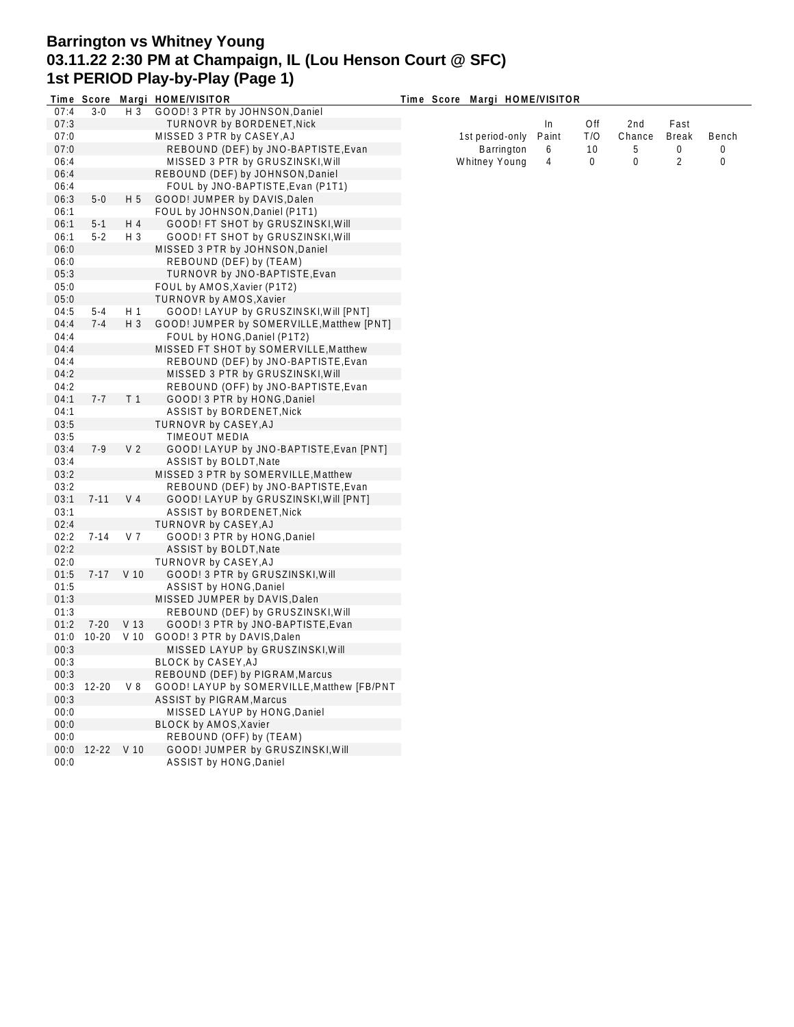## **Barrington vs Whitney Young 03.11.22 2:30 PM at Champaign, IL (Lou Henson Court @ SFC) 1st PERIOD Play-by-Play (Page 1)**

|      |            |                | Time Score Margi HOME/VISITOR              | Time Score Margi HOME/VISITOR |       |          |                 |                |       |
|------|------------|----------------|--------------------------------------------|-------------------------------|-------|----------|-----------------|----------------|-------|
| 07:4 | $3 - 0$    | $H_3$          | GOOD! 3 PTR by JOHNSON, Daniel             |                               |       |          |                 |                |       |
| 07:3 |            |                | TURNOVR by BORDENET, Nick                  |                               | In    | Off      | 2 <sub>nd</sub> | Fast           |       |
| 07:0 |            |                | MISSED 3 PTR by CASEY, AJ                  | 1st period-only               | Paint | T/O      | Chance          | <b>Break</b>   | Bench |
| 07:0 |            |                | REBOUND (DEF) by JNO-BAPTISTE, Evan        | Barrington                    | 6     | 10       | 5               | 0              | 0     |
| 06:4 |            |                | MISSED 3 PTR by GRUSZINSKI, Will           | Whitney Young                 | 4     | $\Omega$ | 0               | $\overline{2}$ | 0     |
| 06:4 |            |                | REBOUND (DEF) by JOHNSON, Daniel           |                               |       |          |                 |                |       |
| 06:4 |            |                | FOUL by JNO-BAPTISTE, Evan (P1T1)          |                               |       |          |                 |                |       |
| 06:3 | $5-0$      | H <sub>5</sub> | GOOD! JUMPER by DAVIS, Dalen               |                               |       |          |                 |                |       |
| 06:1 |            |                | FOUL by JOHNSON, Daniel (P1T1)             |                               |       |          |                 |                |       |
| 06:1 | $5 - 1$    | H 4            | GOOD! FT SHOT by GRUSZINSKI, Will          |                               |       |          |                 |                |       |
| 06:1 | $5-2$      | $H_3$          | GOOD! FT SHOT by GRUSZINSKI, Will          |                               |       |          |                 |                |       |
| 06:0 |            |                | MISSED 3 PTR by JOHNSON, Daniel            |                               |       |          |                 |                |       |
| 06:0 |            |                | REBOUND (DEF) by (TEAM)                    |                               |       |          |                 |                |       |
|      |            |                |                                            |                               |       |          |                 |                |       |
| 05:3 |            |                | TURNOVR by JNO-BAPTISTE, Evan              |                               |       |          |                 |                |       |
| 05:0 |            |                | FOUL by AMOS, Xavier (P1T2)                |                               |       |          |                 |                |       |
| 05:0 |            |                | TURNOVR by AMOS, Xavier                    |                               |       |          |                 |                |       |
| 04:5 | $5 - 4$    | H <sub>1</sub> | GOOD! LAYUP by GRUSZINSKI, Will [PNT]      |                               |       |          |                 |                |       |
| 04:4 | $7 - 4$    | $H_3$          | GOOD! JUMPER by SOMERVILLE, Matthew [PNT]  |                               |       |          |                 |                |       |
| 04:4 |            |                | FOUL by HONG, Daniel (P1T2)                |                               |       |          |                 |                |       |
| 04:4 |            |                | MISSED FT SHOT by SOMERVILLE, Matthew      |                               |       |          |                 |                |       |
| 04:4 |            |                | REBOUND (DEF) by JNO-BAPTISTE, Evan        |                               |       |          |                 |                |       |
| 04:2 |            |                | MISSED 3 PTR by GRUSZINSKI, Will           |                               |       |          |                 |                |       |
| 04:2 |            |                | REBOUND (OFF) by JNO-BAPTISTE, Evan        |                               |       |          |                 |                |       |
| 04:1 | $7 - 7$    | T <sub>1</sub> | GOOD! 3 PTR by HONG, Daniel                |                               |       |          |                 |                |       |
| 04:1 |            |                | ASSIST by BORDENET, Nick                   |                               |       |          |                 |                |       |
| 03:5 |            |                | TURNOVR by CASEY, AJ                       |                               |       |          |                 |                |       |
| 03:5 |            |                | TIMEOUT MEDIA                              |                               |       |          |                 |                |       |
| 03:4 | $7-9$      | V <sub>2</sub> | GOOD! LAYUP by JNO-BAPTISTE, Evan [PNT]    |                               |       |          |                 |                |       |
| 03:4 |            |                | ASSIST by BOLDT, Nate                      |                               |       |          |                 |                |       |
| 03:2 |            |                | MISSED 3 PTR by SOMERVILLE, Matthew        |                               |       |          |                 |                |       |
| 03:2 |            |                | REBOUND (DEF) by JNO-BAPTISTE, Evan        |                               |       |          |                 |                |       |
| 03:1 | $7 - 11$   | V <sub>4</sub> | GOOD! LAYUP by GRUSZINSKI, Will [PNT]      |                               |       |          |                 |                |       |
| 03:1 |            |                | <b>ASSIST by BORDENET, Nick</b>            |                               |       |          |                 |                |       |
|      |            |                |                                            |                               |       |          |                 |                |       |
| 02:4 |            |                | TURNOVR by CASEY, AJ                       |                               |       |          |                 |                |       |
| 02:2 | $7 - 14$   | V <sub>7</sub> | GOOD! 3 PTR by HONG, Daniel                |                               |       |          |                 |                |       |
| 02:2 |            |                | ASSIST by BOLDT, Nate                      |                               |       |          |                 |                |       |
| 02:0 |            |                | TURNOVR by CASEY, AJ                       |                               |       |          |                 |                |       |
| 01:5 |            | 7-17 V 10      | GOOD! 3 PTR by GRUSZINSKI, Will            |                               |       |          |                 |                |       |
| 01:5 |            |                | <b>ASSIST by HONG, Daniel</b>              |                               |       |          |                 |                |       |
| 01:3 |            |                | MISSED JUMPER by DAVIS, Dalen              |                               |       |          |                 |                |       |
| 01:3 |            |                | REBOUND (DEF) by GRUSZINSKI, Will          |                               |       |          |                 |                |       |
| 01:2 |            | 7-20 V 13      | GOOD! 3 PTR by JNO-BAPTISTE, Evan          |                               |       |          |                 |                |       |
| 01:0 |            |                | 10-20 V 10 GOOD! 3 PTR by DAVIS, Dalen     |                               |       |          |                 |                |       |
| 00:3 |            |                | MISSED LAYUP by GRUSZINSKI, Will           |                               |       |          |                 |                |       |
| 00:3 |            |                | BLOCK by CASEY, AJ                         |                               |       |          |                 |                |       |
| 00:3 |            |                | REBOUND (DEF) by PIGRAM, Marcus            |                               |       |          |                 |                |       |
| 00:3 | $12 - 20$  | V8             | GOOD! LAYUP by SOMERVILLE, Matthew [FB/PNT |                               |       |          |                 |                |       |
| 00:3 |            |                | <b>ASSIST by PIGRAM, Marcus</b>            |                               |       |          |                 |                |       |
| 00:0 |            |                | MISSED LAYUP by HONG, Daniel               |                               |       |          |                 |                |       |
| 00:0 |            |                | <b>BLOCK by AMOS, Xavier</b>               |                               |       |          |                 |                |       |
| 00:0 |            |                | REBOUND (OFF) by (TEAM)                    |                               |       |          |                 |                |       |
| 00:0 | 12-22 V 10 |                | GOOD! JUMPER by GRUSZINSKI, Will           |                               |       |          |                 |                |       |
| 00:0 |            |                | ASSIST by HONG, Daniel                     |                               |       |          |                 |                |       |
|      |            |                |                                            |                               |       |          |                 |                |       |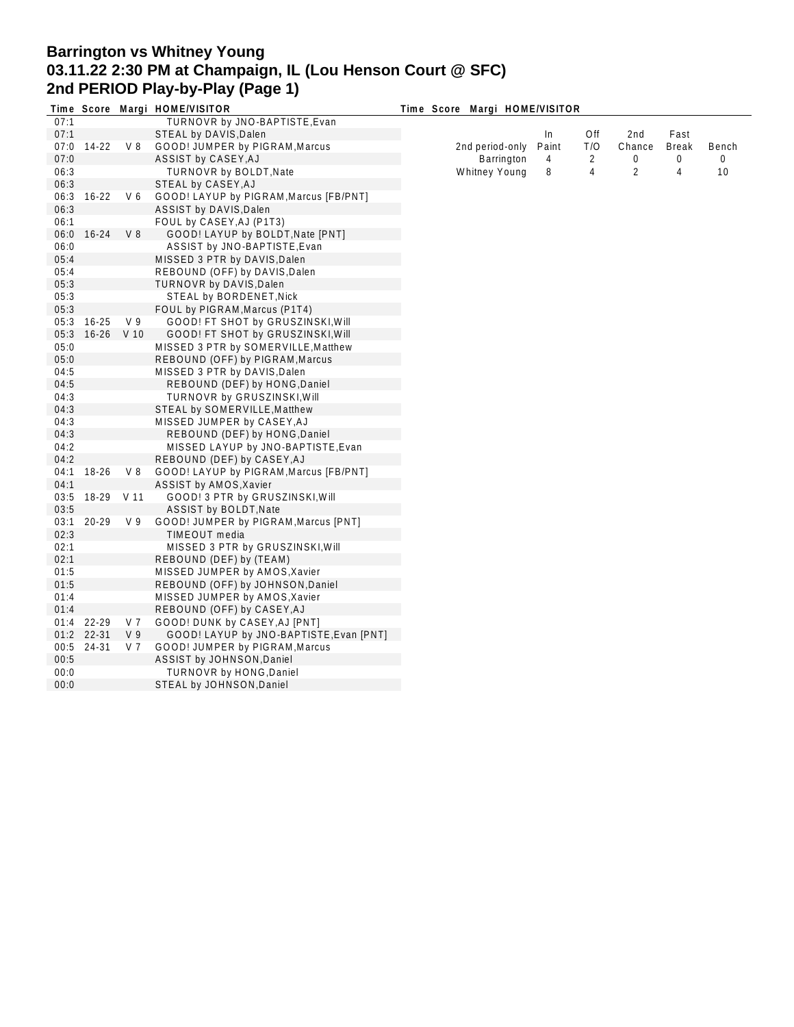# **Barrington vs Whitney Young 03.11.22 2:30 PM at Champaign, IL (Lou Henson Court @ SFC) 2nd PERIOD Play-by-Play (Page 1)**

|      |            |                | Time Score Margi HOME/VISITOR           | Time Score Margi HOME/VISITOR |       |     |        |                |       |  |
|------|------------|----------------|-----------------------------------------|-------------------------------|-------|-----|--------|----------------|-------|--|
| 07:1 |            |                | TURNOVR by JNO-BAPTISTE, Evan           |                               |       |     |        |                |       |  |
| 07:1 |            |                | STEAL by DAVIS, Dalen                   |                               | In    | Off | 2nd    | Fast           |       |  |
| 07:0 | 14-22      | V 8            | GOOD! JUMPER by PIGRAM, Marcus          | 2nd period-only               | Paint | T/O | Chance | <b>Break</b>   | Bench |  |
| 07:0 |            |                | ASSIST by CASEY, AJ                     | Barrington                    | 4     | 2   | 0      | 0              | 0     |  |
| 06:3 |            |                | <b>TURNOVR by BOLDT, Nate</b>           | Whitney Young                 | 8     | 4   | 2      | $\overline{4}$ | 10    |  |
| 06:3 |            |                | STEAL by CASEY, AJ                      |                               |       |     |        |                |       |  |
| 06:3 | $16 - 22$  | V 6            | GOOD! LAYUP by PIGRAM, Marcus [FB/PNT]  |                               |       |     |        |                |       |  |
| 06:3 |            |                | ASSIST by DAVIS, Dalen                  |                               |       |     |        |                |       |  |
| 06:1 |            |                | FOUL by CASEY, AJ (P1T3)                |                               |       |     |        |                |       |  |
| 06:0 | $16 - 24$  | V8             | GOOD! LAYUP by BOLDT, Nate [PNT]        |                               |       |     |        |                |       |  |
| 06:0 |            |                | ASSIST by JNO-BAPTISTE, Evan            |                               |       |     |        |                |       |  |
|      |            |                |                                         |                               |       |     |        |                |       |  |
| 05:4 |            |                | MISSED 3 PTR by DAVIS, Dalen            |                               |       |     |        |                |       |  |
| 05:4 |            |                | REBOUND (OFF) by DAVIS, Dalen           |                               |       |     |        |                |       |  |
| 05:3 |            |                | TURNOVR by DAVIS, Dalen                 |                               |       |     |        |                |       |  |
| 05:3 |            |                | STEAL by BORDENET, Nick                 |                               |       |     |        |                |       |  |
| 05:3 |            |                | FOUL by PIGRAM, Marcus (P1T4)           |                               |       |     |        |                |       |  |
| 05:3 | 16-25      | V <sub>9</sub> | GOOD! FT SHOT by GRUSZINSKI, Will       |                               |       |     |        |                |       |  |
| 05:3 | 16-26 V 10 |                | GOOD! FT SHOT by GRUSZINSKI, Will       |                               |       |     |        |                |       |  |
| 05:0 |            |                | MISSED 3 PTR by SOMERVILLE, Matthew     |                               |       |     |        |                |       |  |
| 05:0 |            |                | REBOUND (OFF) by PIGRAM, Marcus         |                               |       |     |        |                |       |  |
| 04:5 |            |                | MISSED 3 PTR by DAVIS, Dalen            |                               |       |     |        |                |       |  |
| 04:5 |            |                | REBOUND (DEF) by HONG, Daniel           |                               |       |     |        |                |       |  |
| 04:3 |            |                | TURNOVR by GRUSZINSKI, Will             |                               |       |     |        |                |       |  |
| 04:3 |            |                | STEAL by SOMERVILLE, Matthew            |                               |       |     |        |                |       |  |
| 04:3 |            |                | MISSED JUMPER by CASEY, AJ              |                               |       |     |        |                |       |  |
| 04:3 |            |                | REBOUND (DEF) by HONG, Daniel           |                               |       |     |        |                |       |  |
| 04:2 |            |                | MISSED LAYUP by JNO-BAPTISTE, Evan      |                               |       |     |        |                |       |  |
| 04:2 |            |                | REBOUND (DEF) by CASEY, AJ              |                               |       |     |        |                |       |  |
| 04:1 | 18-26      | V 8            | GOOD! LAYUP by PIGRAM, Marcus [FB/PNT]  |                               |       |     |        |                |       |  |
| 04:1 |            |                | ASSIST by AMOS, Xavier                  |                               |       |     |        |                |       |  |
| 03:5 | 18-29 V 11 |                | GOOD! 3 PTR by GRUSZINSKI, Will         |                               |       |     |        |                |       |  |
| 03:5 |            |                | ASSIST by BOLDT, Nate                   |                               |       |     |        |                |       |  |
| 03:1 | 20-29      | V <sub>9</sub> | GOOD! JUMPER by PIGRAM, Marcus [PNT]    |                               |       |     |        |                |       |  |
| 02:3 |            |                | TIMEOUT media                           |                               |       |     |        |                |       |  |
| 02:1 |            |                | MISSED 3 PTR by GRUSZINSKI, Will        |                               |       |     |        |                |       |  |
| 02:1 |            |                |                                         |                               |       |     |        |                |       |  |
|      |            |                | REBOUND (DEF) by (TEAM)                 |                               |       |     |        |                |       |  |
| 01:5 |            |                | MISSED JUMPER by AMOS, Xavier           |                               |       |     |        |                |       |  |
| 01:5 |            |                | REBOUND (OFF) by JOHNSON, Daniel        |                               |       |     |        |                |       |  |
| 01:4 |            |                | MISSED JUMPER by AMOS, Xavier           |                               |       |     |        |                |       |  |
| 01:4 |            |                | REBOUND (OFF) by CASEY, AJ              |                               |       |     |        |                |       |  |
| 01:4 | 22-29      | V 7            | GOOD! DUNK by CASEY, AJ [PNT]           |                               |       |     |        |                |       |  |
|      | 01:2 22-31 | V <sub>9</sub> | GOOD! LAYUP by JNO-BAPTISTE, Evan [PNT] |                               |       |     |        |                |       |  |
| 00:5 | 24-31      | V 7            | GOOD! JUMPER by PIGRAM, Marcus          |                               |       |     |        |                |       |  |
| 00:5 |            |                | ASSIST by JOHNSON, Daniel               |                               |       |     |        |                |       |  |
| 00:0 |            |                | TURNOVR by HONG, Daniel                 |                               |       |     |        |                |       |  |
| 00:0 |            |                | STEAL by JOHNSON, Daniel                |                               |       |     |        |                |       |  |
|      |            |                |                                         |                               |       |     |        |                |       |  |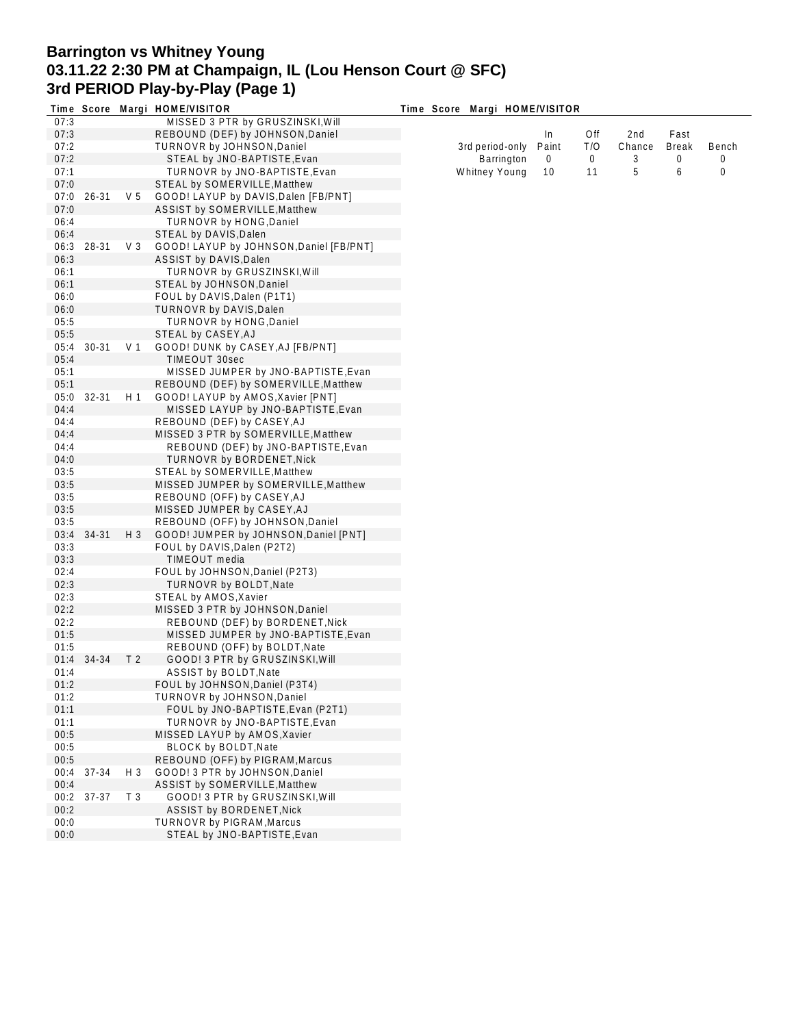# **Barrington vs Whitney Young 03.11.22 2:30 PM at Champaign, IL (Lou Henson Court @ SFC) 3rd PERIOD Play-by-Play (Page 1)**

|      |           |                | Time Score Margi HOME/VISITOR           | Time Score Margi HOME/VISITOR |       |     |        |              |       |
|------|-----------|----------------|-----------------------------------------|-------------------------------|-------|-----|--------|--------------|-------|
| 07:3 |           |                | MISSED 3 PTR by GRUSZINSKI, Will        |                               |       |     |        |              |       |
| 07:3 |           |                | REBOUND (DEF) by JOHNSON, Daniel        |                               | In    | Off | 2nd    | Fast         |       |
| 07:2 |           |                | TURNOVR by JOHNSON, Daniel              | 3rd period-only               | Paint | T/O | Chance | <b>Break</b> | Bench |
| 07:2 |           |                | STEAL by JNO-BAPTISTE, Evan             | Barrington                    | 0     | 0   | 3      | 0            | 0     |
| 07:1 |           |                | TURNOVR by JNO-BAPTISTE, Evan           | Whitney Young                 | 10    | 11  | 5      | 6            | 0     |
| 07:0 |           |                | STEAL by SOMERVILLE, Matthew            |                               |       |     |        |              |       |
| 07:0 | $26 - 31$ | V <sub>5</sub> | GOOD! LAYUP by DAVIS, Dalen [FB/PNT]    |                               |       |     |        |              |       |
| 07:0 |           |                | ASSIST by SOMERVILLE, Matthew           |                               |       |     |        |              |       |
| 06:4 |           |                | TURNOVR by HONG, Daniel                 |                               |       |     |        |              |       |
| 06:4 |           |                | STEAL by DAVIS, Dalen                   |                               |       |     |        |              |       |
|      | 28-31     | V <sub>3</sub> | GOOD! LAYUP by JOHNSON, Daniel [FB/PNT] |                               |       |     |        |              |       |
| 06:3 |           |                |                                         |                               |       |     |        |              |       |
| 06:3 |           |                | ASSIST by DAVIS, Dalen                  |                               |       |     |        |              |       |
| 06:1 |           |                | TURNOVR by GRUSZINSKI, Will             |                               |       |     |        |              |       |
| 06:1 |           |                | STEAL by JOHNSON, Daniel                |                               |       |     |        |              |       |
| 06:0 |           |                | FOUL by DAVIS, Dalen (P1T1)             |                               |       |     |        |              |       |
| 06:0 |           |                | TURNOVR by DAVIS, Dalen                 |                               |       |     |        |              |       |
| 05:5 |           |                | TURNOVR by HONG, Daniel                 |                               |       |     |        |              |       |
| 05:5 |           |                | STEAL by CASEY, AJ                      |                               |       |     |        |              |       |
| 05:4 | $30 - 31$ | V <sub>1</sub> | GOOD! DUNK by CASEY, AJ [FB/PNT]        |                               |       |     |        |              |       |
| 05:4 |           |                | <b>TIMEOUT 30sec</b>                    |                               |       |     |        |              |       |
| 05:1 |           |                | MISSED JUMPER by JNO-BAPTISTE, Evan     |                               |       |     |        |              |       |
| 05:1 |           |                | REBOUND (DEF) by SOMERVILLE, Matthew    |                               |       |     |        |              |       |
| 05:0 | 32-31     | H <sub>1</sub> | GOOD! LAYUP by AMOS, Xavier [PNT]       |                               |       |     |        |              |       |
| 04:4 |           |                | MISSED LAYUP by JNO-BAPTISTE, Evan      |                               |       |     |        |              |       |
| 04:4 |           |                | REBOUND (DEF) by CASEY, AJ              |                               |       |     |        |              |       |
| 04:4 |           |                | MISSED 3 PTR by SOMERVILLE, Matthew     |                               |       |     |        |              |       |
| 04:4 |           |                | REBOUND (DEF) by JNO-BAPTISTE, Evan     |                               |       |     |        |              |       |
| 04:0 |           |                | TURNOVR by BORDENET, Nick               |                               |       |     |        |              |       |
| 03:5 |           |                | STEAL by SOMERVILLE, Matthew            |                               |       |     |        |              |       |
| 03:5 |           |                |                                         |                               |       |     |        |              |       |
|      |           |                | MISSED JUMPER by SOMERVILLE, Matthew    |                               |       |     |        |              |       |
| 03:5 |           |                | REBOUND (OFF) by CASEY, AJ              |                               |       |     |        |              |       |
| 03:5 |           |                | MISSED JUMPER by CASEY, AJ              |                               |       |     |        |              |       |
| 03:5 |           |                | REBOUND (OFF) by JOHNSON, Daniel        |                               |       |     |        |              |       |
| 03:4 | 34-31     | H 3            | GOOD! JUMPER by JOHNSON, Daniel [PNT]   |                               |       |     |        |              |       |
| 03:3 |           |                | FOUL by DAVIS, Dalen (P2T2)             |                               |       |     |        |              |       |
| 03:3 |           |                | TIMEOUT media                           |                               |       |     |        |              |       |
| 02:4 |           |                | FOUL by JOHNSON, Daniel (P2T3)          |                               |       |     |        |              |       |
| 02:3 |           |                | TURNOVR by BOLDT, Nate                  |                               |       |     |        |              |       |
| 02:3 |           |                | STEAL by AMOS, Xavier                   |                               |       |     |        |              |       |
| 02:2 |           |                | MISSED 3 PTR by JOHNSON, Daniel         |                               |       |     |        |              |       |
| 02:2 |           |                | REBOUND (DEF) by BORDENET, Nick         |                               |       |     |        |              |       |
| 01:5 |           |                | MISSED JUMPER by JNO-BAPTISTE, Evan     |                               |       |     |        |              |       |
| 01:5 |           |                | REBOUND (OFF) by BOLDT, Nate            |                               |       |     |        |              |       |
| 01:4 | 34-34     | T <sub>2</sub> | GOOD! 3 PTR by GRUSZINSKI, Will         |                               |       |     |        |              |       |
| 01:4 |           |                | ASSIST by BOLDT, Nate                   |                               |       |     |        |              |       |
| 01:2 |           |                | FOUL by JOHNSON, Daniel (P3T4)          |                               |       |     |        |              |       |
| 01:2 |           |                | TURNOVR by JOHNSON, Daniel              |                               |       |     |        |              |       |
| 01:1 |           |                | FOUL by JNO-BAPTISTE, Evan (P2T1)       |                               |       |     |        |              |       |
| 01:1 |           |                | TURNOVR by JNO-BAPTISTE, Evan           |                               |       |     |        |              |       |
| 00:5 |           |                | MISSED LAYUP by AMOS, Xavier            |                               |       |     |        |              |       |
| 00:5 |           |                | <b>BLOCK by BOLDT, Nate</b>             |                               |       |     |        |              |       |
|      |           |                |                                         |                               |       |     |        |              |       |
| 00:5 |           |                | REBOUND (OFF) by PIGRAM, Marcus         |                               |       |     |        |              |       |
| 00:4 | 37-34     | $H_3$          | GOOD! 3 PTR by JOHNSON, Daniel          |                               |       |     |        |              |       |
| 00:4 |           |                | ASSIST by SOMERVILLE, Matthew           |                               |       |     |        |              |       |
| 00:2 | 37-37     | T <sub>3</sub> | GOOD! 3 PTR by GRUSZINSKI, Will         |                               |       |     |        |              |       |
| 00:2 |           |                | ASSIST by BORDENET, Nick                |                               |       |     |        |              |       |
| 00:0 |           |                | TURNOVR by PIGRAM, Marcus               |                               |       |     |        |              |       |
| 00:0 |           |                | STEAL by JNO-BAPTISTE, Evan             |                               |       |     |        |              |       |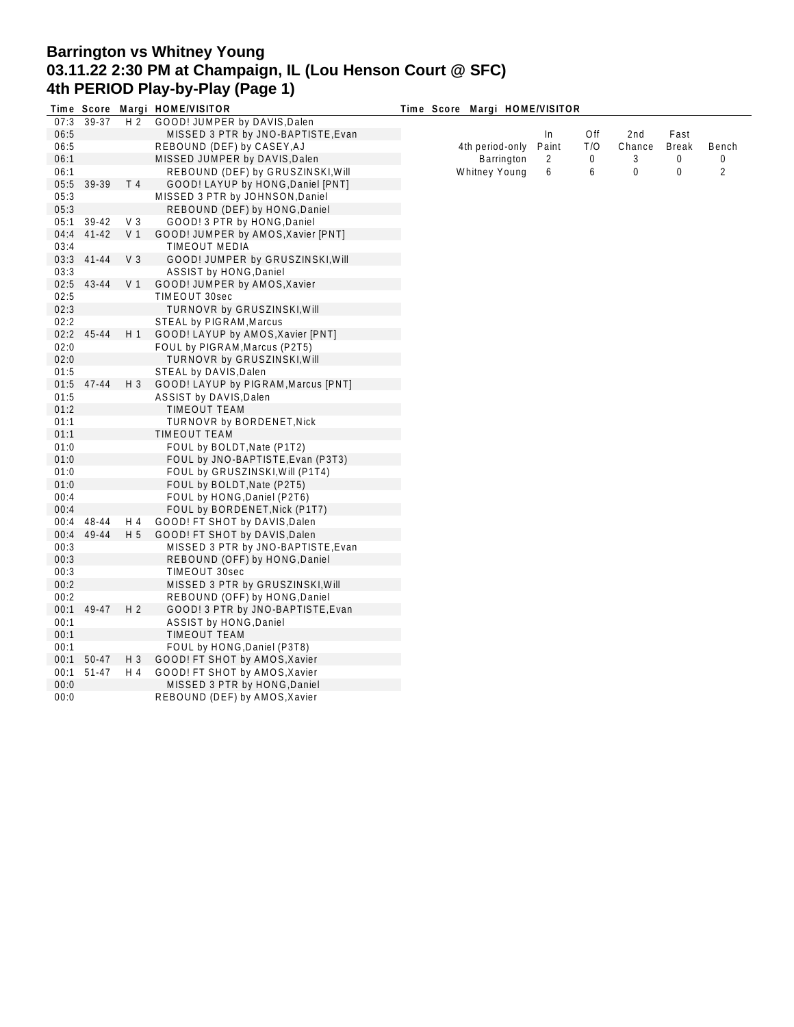# **Barrington vs Whitney Young 03.11.22 2:30 PM at Champaign, IL (Lou Henson Court @ SFC) 4th PERIOD Play-by-Play (Page 1)**

|      |           |                | Time Score Margi HOME/VISITOR       | Time Score Margi HOME/VISITOR |       |             |        |                |                |
|------|-----------|----------------|-------------------------------------|-------------------------------|-------|-------------|--------|----------------|----------------|
| 07:3 | 39-37     | H <sub>2</sub> | GOOD! JUMPER by DAVIS, Dalen        |                               |       |             |        |                |                |
| 06:5 |           |                | MISSED 3 PTR by JNO-BAPTISTE, Evan  |                               | In    | Off         | 2nd    | Fast           |                |
| 06:5 |           |                | REBOUND (DEF) by CASEY, AJ          | 4th period-only               | Paint | T/O         | Chance | <b>Break</b>   | Bench          |
| 06:1 |           |                | MISSED JUMPER by DAVIS, Dalen       | Barrington                    | 2     | $\mathbf 0$ | 3      | 0              | 0              |
| 06:1 |           |                | REBOUND (DEF) by GRUSZINSKI, Will   | Whitney Young                 | 6     | 6           | 0      | $\overline{0}$ | $\overline{2}$ |
| 05:5 | 39-39     | T <sub>4</sub> | GOOD! LAYUP by HONG, Daniel [PNT]   |                               |       |             |        |                |                |
| 05:3 |           |                | MISSED 3 PTR by JOHNSON, Daniel     |                               |       |             |        |                |                |
| 05:3 |           |                | REBOUND (DEF) by HONG, Daniel       |                               |       |             |        |                |                |
| 05:1 | 39-42     | V <sub>3</sub> | GOOD! 3 PTR by HONG, Daniel         |                               |       |             |        |                |                |
| 04:4 | $41 - 42$ | V <sub>1</sub> | GOOD! JUMPER by AMOS, Xavier [PNT]  |                               |       |             |        |                |                |
| 03:4 |           |                | TIMEOUT MEDIA                       |                               |       |             |        |                |                |
| 03:3 | $41 - 44$ | V <sub>3</sub> | GOOD! JUMPER by GRUSZINSKI, Will    |                               |       |             |        |                |                |
| 03:3 |           |                | ASSIST by HONG, Daniel              |                               |       |             |        |                |                |
| 02:5 | 43-44     | V <sub>1</sub> | GOOD! JUMPER by AMOS, Xavier        |                               |       |             |        |                |                |
| 02:5 |           |                | TIMEOUT 30sec                       |                               |       |             |        |                |                |
| 02:3 |           |                | TURNOVR by GRUSZINSKI, Will         |                               |       |             |        |                |                |
| 02:2 |           |                | STEAL by PIGRAM, Marcus             |                               |       |             |        |                |                |
| 02:2 | 45-44     | H1             | GOOD! LAYUP by AMOS, Xavier [PNT]   |                               |       |             |        |                |                |
| 02:0 |           |                | FOUL by PIGRAM, Marcus (P2T5)       |                               |       |             |        |                |                |
| 02:0 |           |                | <b>TURNOVR by GRUSZINSKI, Will</b>  |                               |       |             |        |                |                |
| 01:5 |           |                | STEAL by DAVIS, Dalen               |                               |       |             |        |                |                |
| 01:5 | 47-44     | $H_3$          | GOOD! LAYUP by PIGRAM, Marcus [PNT] |                               |       |             |        |                |                |
|      |           |                |                                     |                               |       |             |        |                |                |
| 01:5 |           |                | ASSIST by DAVIS, Dalen              |                               |       |             |        |                |                |
| 01:2 |           |                | TIMEOUT TEAM                        |                               |       |             |        |                |                |
| 01:1 |           |                | TURNOVR by BORDENET, Nick           |                               |       |             |        |                |                |
| 01:1 |           |                | TIMEOUT TEAM                        |                               |       |             |        |                |                |
| 01:0 |           |                | FOUL by BOLDT, Nate (P1T2)          |                               |       |             |        |                |                |
| 01:0 |           |                | FOUL by JNO-BAPTISTE, Evan (P3T3)   |                               |       |             |        |                |                |
| 01:0 |           |                | FOUL by GRUSZINSKI, Will (P1T4)     |                               |       |             |        |                |                |
| 01:0 |           |                | FOUL by BOLDT, Nate (P2T5)          |                               |       |             |        |                |                |
| 00:4 |           |                | FOUL by HONG, Daniel (P2T6)         |                               |       |             |        |                |                |
| 00:4 |           |                | FOUL by BORDENET, Nick (P1T7)       |                               |       |             |        |                |                |
| 00:4 | 48-44     | H 4            | GOOD! FT SHOT by DAVIS, Dalen       |                               |       |             |        |                |                |
| 00:4 | 49-44     | H <sub>5</sub> | GOOD! FT SHOT by DAVIS, Dalen       |                               |       |             |        |                |                |
| 00:3 |           |                | MISSED 3 PTR by JNO-BAPTISTE, Evan  |                               |       |             |        |                |                |
| 00:3 |           |                | REBOUND (OFF) by HONG, Daniel       |                               |       |             |        |                |                |
| 00:3 |           |                | TIMEOUT 30sec                       |                               |       |             |        |                |                |
| 00:2 |           |                | MISSED 3 PTR by GRUSZINSKI, Will    |                               |       |             |        |                |                |
| 00:2 |           |                | REBOUND (OFF) by HONG, Daniel       |                               |       |             |        |                |                |
| 00:1 | 49-47     | H <sub>2</sub> | GOOD! 3 PTR by JNO-BAPTISTE, Evan   |                               |       |             |        |                |                |
| 00:1 |           |                | ASSIST by HONG, Daniel              |                               |       |             |        |                |                |
| 00:1 |           |                | <b>TIMEOUT TEAM</b>                 |                               |       |             |        |                |                |
| 00:1 |           |                | FOUL by HONG, Daniel (P3T8)         |                               |       |             |        |                |                |
| 00:1 | 50-47     | $H_3$          | GOOD! FT SHOT by AMOS, Xavier       |                               |       |             |        |                |                |
| 00:1 | 51-47     | H 4            | GOOD! FT SHOT by AMOS, Xavier       |                               |       |             |        |                |                |
| 00:0 |           |                | MISSED 3 PTR by HONG, Daniel        |                               |       |             |        |                |                |
| 00:0 |           |                | REBOUND (DEF) by AMOS, Xavier       |                               |       |             |        |                |                |
|      |           |                |                                     |                               |       |             |        |                |                |